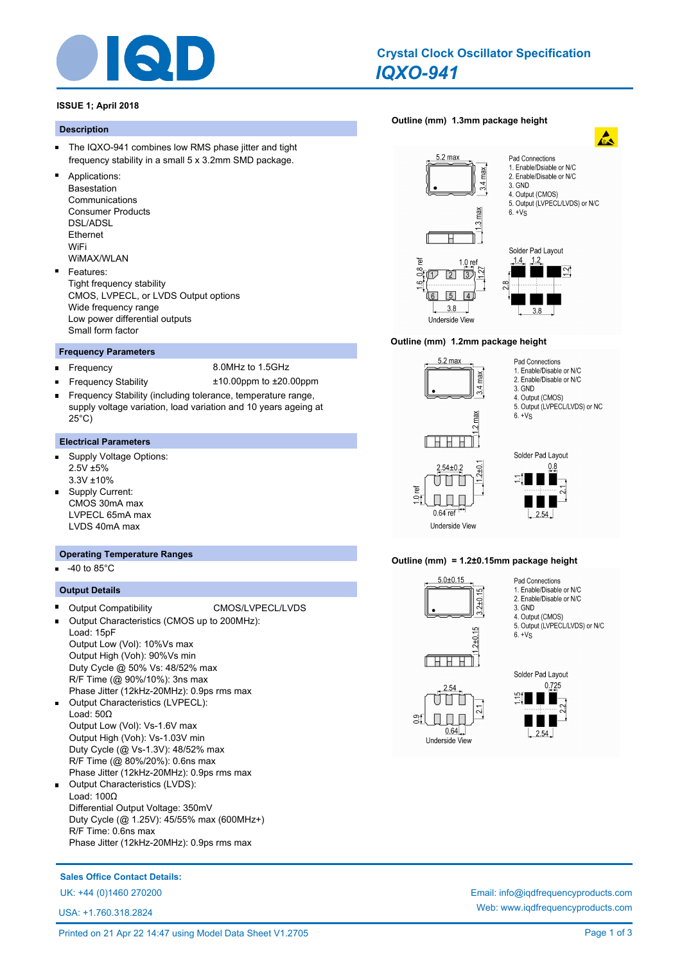

# *IQXO-941* **Crystal Clock Oscillator Specification**

## **ISSUE 1; April 2018**

#### **Description**

- $\blacksquare$ The IQXO-941 combines low RMS phase jitter and tight frequency stability in a small 5 x 3.2mm SMD package.
- Applications: Basestation Communications Consumer Products DSL/ADSL Ethernet WiFi WiMAX/WLAN

# Features:

Tight frequency stability CMOS, LVPECL, or LVDS Output options Wide frequency range Low power differential outputs Small form factor

#### **Frequency Parameters**

 $\blacksquare$ 

- Frequency 8.0MHz to 1.5GHz
- Frequency Stability ±10.00ppm to ±20.00ppm
- Frequency Stability (including tolerance, temperature range, supply voltage variation, load variation and 10 years ageing at 25°C)

#### **Electrical Parameters**

- Supply Voltage Options:  $\blacksquare$ 2.5V ±5% 3.3V ±10%
- Supply Current: CMOS 30mA max LVPECL 65mA max LVDS 40mA max

#### **Operating Temperature Ranges**

-40 to 85°C

#### **Output Details**

- Output Compatibility CMOS/LVPECL/LVDS Output Characteristics (CMOS up to 200MHz): Load: 15pF Output Low (Vol): 10%Vs max Output High (Voh): 90%Vs min Duty Cycle @ 50% Vs: 48/52% max R/F Time (@ 90%/10%): 3ns max Phase Jitter (12kHz-20MHz): 0.9ps rms max
- $\blacksquare$ Output Characteristics (LVPECL): Load: 50Ω Output Low (Vol): Vs-1.6V max Output High (Voh): Vs-1.03V min Duty Cycle (@ Vs-1.3V): 48/52% max R/F Time (@ 80%/20%): 0.6ns max Phase Jitter (12kHz-20MHz): 0.9ps rms max
- $\blacksquare$ Output Characteristics (LVDS): Load: 100Ω Differential Output Voltage: 350mV Duty Cycle (@ 1.25V): 45/55% max (600MHz+) R/F Time: 0.6ns max Phase Jitter (12kHz-20MHz): 0.9ps rms max

# **[Outline \(mm\) 1.3mm package height](http://www.iqdfrequencyproducts.com/products/search/?type=crystal-clock-oscillator&model=IQXO-941)**



#### **Outline (mm) 1.2mm package height**



П Ш

 $0.64$  ref

**Underside View** 

 $\cup$ 

ď



Pad Connections 1. Enable/Disable or N/C

3. GND 4. Output (CMOS) 5. Output (LVPECL/LVDS) or NC

 $6. + Vs$ 

2. Enable/Disable or N/C

#### **Outline (mm) = 1.2±0.15mm package height**

 $2 + 0$ 



- Pad Connections 1. Enable/Disable or N/C
- 2. Enable/Disable or N/C
- 3. GND 4. Output (CMOS)

 $6. + Vs$ 

- 5. Output (LVPECL/LVDS) or N/C
- 



း

 $0.725$  $2.54$ 

Solder Pad Layout

Web: www.iqdfrequencyproducts.com

**Sales Office Contact Details:**

UK: +44 (0)1460 270200 Email: info@iqdfrequencyproducts.com

USA: +1.760.318.2824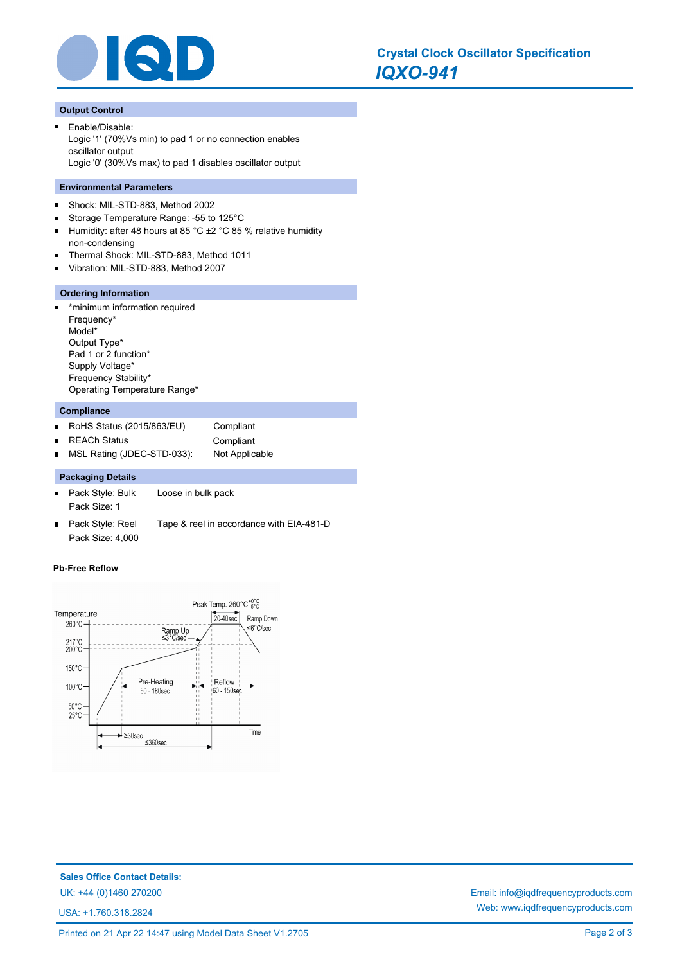

#### **Output Control**

Enable/Disable: Logic '1' (70%Vs min) to pad 1 or no connection enables oscillator output Logic '0' (30%Vs max) to pad 1 disables oscillator output

#### **Environmental Parameters**

- $\blacksquare$ Shock: MIL-STD-883, Method 2002
- Storage Temperature Range: -55 to 125°C  $\blacksquare$
- $\blacksquare$ Humidity: after 48 hours at 85 °C ±2 °C 85 % relative humidity non-condensing
- Thermal Shock: MIL-STD-883, Method 1011
- Vibration: MIL-STD-883, Method 2007  $\blacksquare$

#### **Ordering Information**

\*minimum information required ä. Frequency\* Model\* Output Type\* Pad 1 or 2 function\* Supply Voltage\* Frequency Stability\* Operating Temperature Range\*

#### **Compliance**

RoHS Status (2015/863/EU) Compliant  $\blacksquare$ REACh Status **Compliant**  $\blacksquare$ MSL Rating (JDEC-STD-033): Not Applicable  $\blacksquare$ 

### **Packaging Details**

- Pack Style: Bulk Loose in bulk pack  $\blacksquare$ Pack Size: 1
- Pack Style: Reel Tape & reel in accordance with EIA-481-D  $\blacksquare$ Pack Size: 4,000

#### **Pb-Free Reflow**



**Sales Office Contact Details:** UK: +44 (0)1460 270200 Email: info@iqdfrequencyproducts.com

USA: +1.760.318.2824

Web: www.iqdfrequencyproducts.com